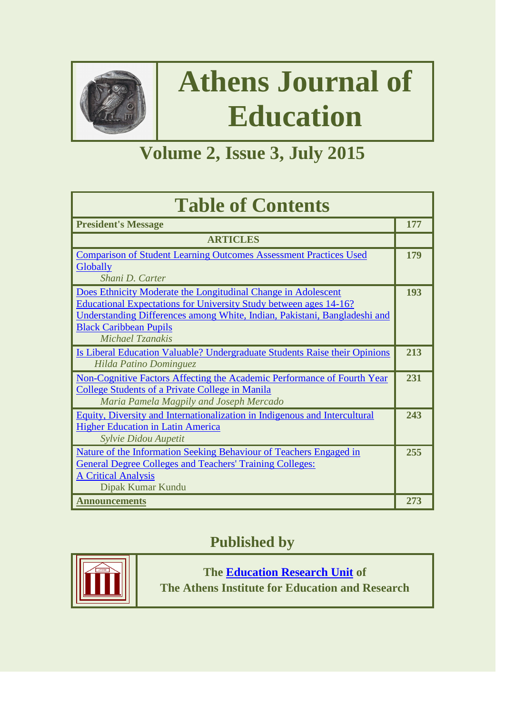

# **Athens Journal of Education**

### **Volume 2, Issue 3, July 2015**

| <b>Table of Contents</b>                                                                             |     |
|------------------------------------------------------------------------------------------------------|-----|
| <b>President's Message</b>                                                                           | 177 |
| <b>ARTICLES</b>                                                                                      |     |
| <b>Comparison of Student Learning Outcomes Assessment Practices Used</b>                             | 179 |
| Globally<br>Shani D. Carter                                                                          |     |
| Does Ethnicity Moderate the Longitudinal Change in Adolescent                                        | 193 |
| Educational Expectations for University Study between ages 14-16?                                    |     |
| Understanding Differences among White, Indian, Pakistani, Bangladeshi and                            |     |
| <b>Black Caribbean Pupils</b><br>Michael Tzanakis                                                    |     |
|                                                                                                      | 213 |
| Is Liberal Education Valuable? Undergraduate Students Raise their Opinions<br>Hilda Patino Dominguez |     |
| Non-Cognitive Factors Affecting the Academic Performance of Fourth Year                              | 231 |
| <b>College Students of a Private College in Manila</b>                                               |     |
| Maria Pamela Magpily and Joseph Mercado                                                              |     |
| Equity, Diversity and Internationalization in Indigenous and Intercultural                           | 243 |
| <b>Higher Education in Latin America</b>                                                             |     |
| Sylvie Didou Aupetit                                                                                 |     |
| Nature of the Information Seeking Behaviour of Teachers Engaged in                                   | 255 |
| <b>General Degree Colleges and Teachers' Training Colleges:</b>                                      |     |
| <b>A Critical Analysis</b>                                                                           |     |
| Dipak Kumar Kundu                                                                                    |     |
| <b>Announcements</b>                                                                                 | 273 |

### **Published by**



**The [Education Research Unit](http://www.atiner.gr/docs/EDUCATION_UNIT.htm) of** 

**The Athens Institute for Education and Research**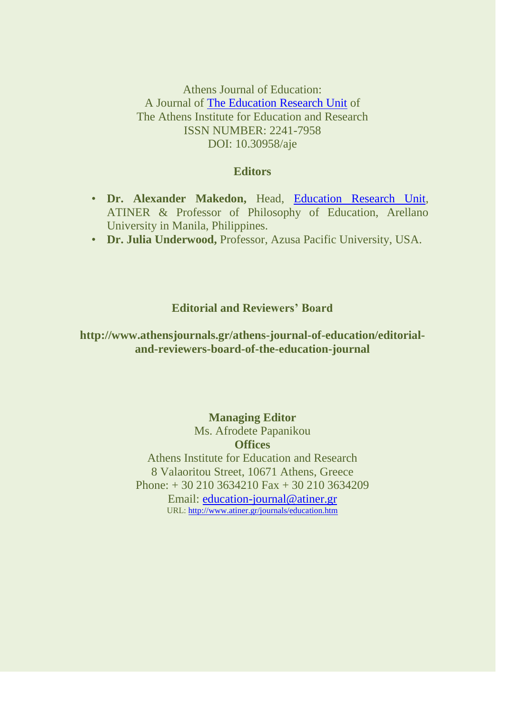Athens Journal of Education: A Journal of [The Education Research Unit](http://www.atiner.gr/EDUCATION-UNIT.htm) of The Athens Institute for Education and Research ISSN NUMBER: 2241-7958 DOI: 10.30958/aje

#### **Editors**

- **Dr. Alexander Makedon,** Head, [Education Research Unit,](http://www.atiner.gr/docs/EDUCATION_UNIT.htm) ATINER & Professor of Philosophy of Education, Arellano University in Manila, Philippines.
- **Dr. Julia Underwood,** Professor, Azusa Pacific University, USA.

#### **Editorial and Reviewers' Board**

**http://www.athensjournals.gr/athens-journal-of-education/editorialand-reviewers-board-of-the-education-journal**

> **Managing Editor** Ms. Afrodete Papanikou **Offices** Athens Institute for Education and Research 8 Valaoritou Street, 10671 Athens, Greece Phone: + 30 210 3634210 Fax + 30 210 3634209 Email: [education-journal@atiner.gr](mailto:education-journal@atiner.gr) URL:<http://www.atiner.gr/journals/education.htm>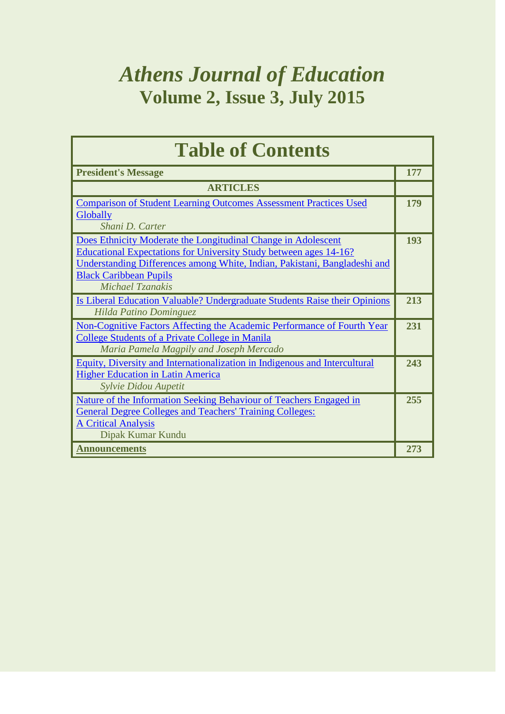## *Athens Journal of Education* **Volume 2, Issue 3, July 2015**

| <b>Table of Contents</b>                                                   |     |
|----------------------------------------------------------------------------|-----|
| <b>President's Message</b>                                                 | 177 |
| <b>ARTICLES</b>                                                            |     |
| <b>Comparison of Student Learning Outcomes Assessment Practices Used</b>   | 179 |
| Globally                                                                   |     |
| Shani D. Carter                                                            |     |
| Does Ethnicity Moderate the Longitudinal Change in Adolescent              | 193 |
| <b>Educational Expectations for University Study between ages 14-16?</b>   |     |
| Understanding Differences among White, Indian, Pakistani, Bangladeshi and  |     |
| <b>Black Caribbean Pupils</b>                                              |     |
| Michael Tzanakis                                                           |     |
| Is Liberal Education Valuable? Undergraduate Students Raise their Opinions | 213 |
| Hilda Patino Dominguez                                                     |     |
| Non-Cognitive Factors Affecting the Academic Performance of Fourth Year    | 231 |
| <b>College Students of a Private College in Manila</b>                     |     |
| Maria Pamela Magpily and Joseph Mercado                                    |     |
| Equity, Diversity and Internationalization in Indigenous and Intercultural | 243 |
| <b>Higher Education in Latin America</b>                                   |     |
| Sylvie Didou Aupetit                                                       |     |
| Nature of the Information Seeking Behaviour of Teachers Engaged in         | 255 |
| <b>General Degree Colleges and Teachers' Training Colleges:</b>            |     |
| <b>A Critical Analysis</b>                                                 |     |
| Dipak Kumar Kundu                                                          |     |
| <b>Announcements</b>                                                       | 273 |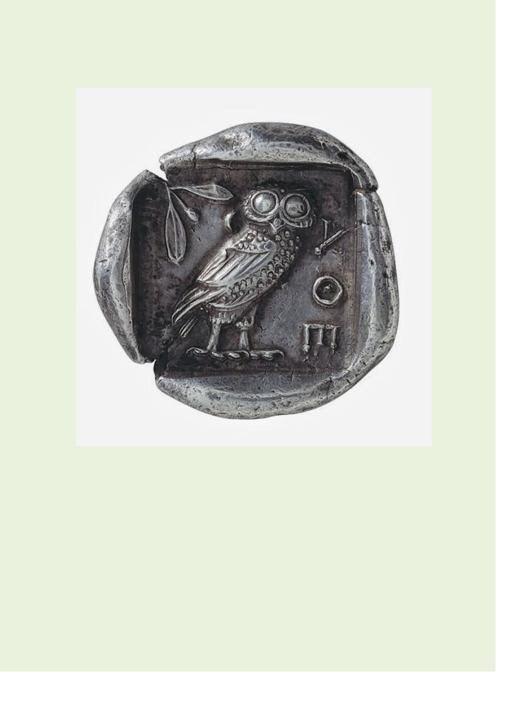